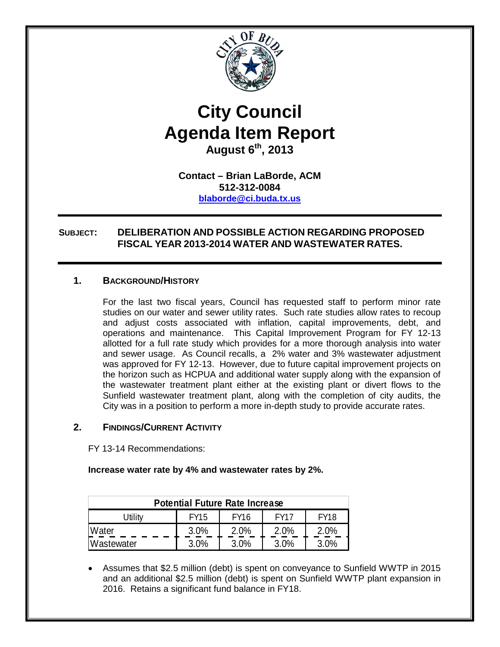

# **City Council Agenda Item Report August 6th, 2013**

**Contact – Brian LaBorde, ACM 512-312-0084 [blaborde@ci.buda.tx.us](mailto:blaborde@ci.buda.tx.us)**

# **SUBJECT: DELIBERATION AND POSSIBLE ACTION REGARDING PROPOSED FISCAL YEAR 2013-2014 WATER AND WASTEWATER RATES.**

## **1. BACKGROUND/HISTORY**

For the last two fiscal years, Council has requested staff to perform minor rate studies on our water and sewer utility rates. Such rate studies allow rates to recoup and adjust costs associated with inflation, capital improvements, debt, and operations and maintenance. This Capital Improvement Program for FY 12-13 allotted for a full rate study which provides for a more thorough analysis into water and sewer usage. As Council recalls, a 2% water and 3% wastewater adjustment was approved for FY 12-13. However, due to future capital improvement projects on the horizon such as HCPUA and additional water supply along with the expansion of the wastewater treatment plant either at the existing plant or divert flows to the Sunfield wastewater treatment plant, along with the completion of city audits, the City was in a position to perform a more in-depth study to provide accurate rates.

# **2. FINDINGS/CURRENT ACTIVITY**

FY 13-14 Recommendations:

**Increase water rate by 4% and wastewater rates by 2%.**

| <b>Potential Future Rate Increase</b> |             |             |             |             |  |  |
|---------------------------------------|-------------|-------------|-------------|-------------|--|--|
| Jtilitv                               | <b>FY15</b> | <b>FY16</b> | <b>FY17</b> | <b>FY18</b> |  |  |
| Water                                 | 3.0%        | 2.0%        | 2.0%        | 2.0%        |  |  |
| <b>Nastewater</b>                     | 3.0%        | 3.0%        | 3.0%        | 3.0%        |  |  |

• Assumes that \$2.5 million (debt) is spent on conveyance to Sunfield WWTP in 2015 and an additional \$2.5 million (debt) is spent on Sunfield WWTP plant expansion in 2016. Retains a significant fund balance in FY18.